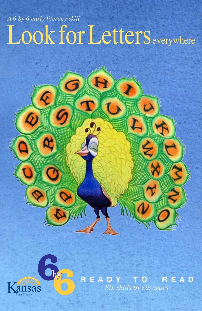## Look for Letters everywhere *A 6 by 6 early literacy skill*



 $\overline{\mathcal{L}}$ 

**R E A D Y T O R E A D** *Six skills by six years*